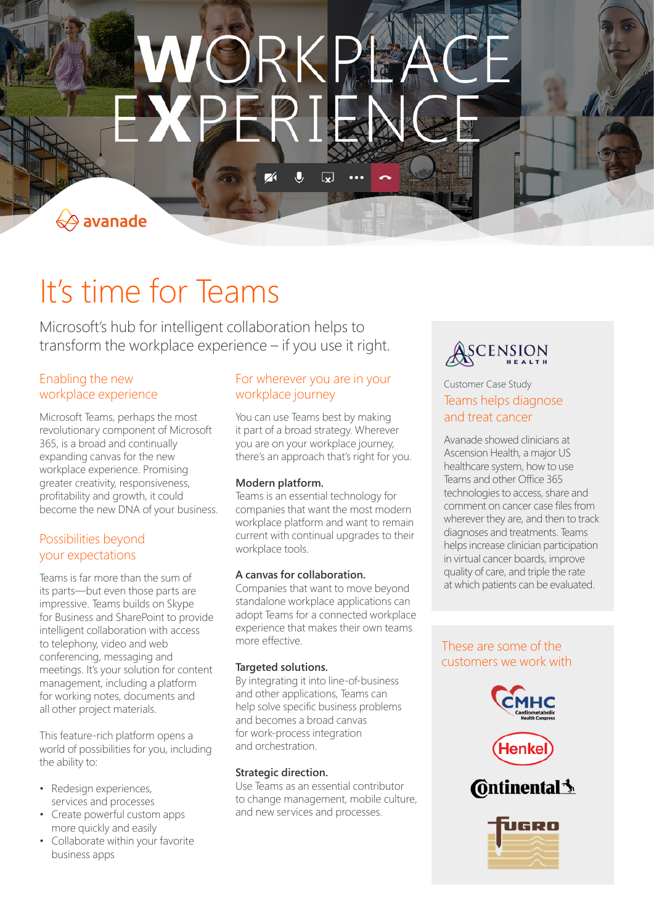$\mathbf{\mathbf{\mathbf{\mathsf{Q}}}}$ 

 $\Leftrightarrow$  avanade

# It's time for Teams

Microsoft's hub for intelligent collaboration helps to transform the workplace experience – if you use it right.

#### Enabling the new workplace experience

Microsoft Teams, perhaps the most revolutionary component of Microsoft 365, is a broad and continually expanding canvas for the new workplace experience. Promising greater creativity, responsiveness, profitability and growth, it could become the new DNA of your business.

# Possibilities beyond your expectations

Teams is far more than the sum of its parts—but even those parts are impressive. Teams builds on Skype for Business and SharePoint to provide intelligent collaboration with access to telephony, video and web conferencing, messaging and meetings. It's your solution for content management, including a platform for working notes, documents and all other project materials.

This feature-rich platform opens a world of possibilities for you, including the ability to:

- Redesign experiences, services and processes
- Create powerful custom apps more quickly and easily
- Collaborate within your favorite business apps

# For wherever you are in your workplace journey

You can use Teams best by making it part of a broad strategy. Wherever you are on your workplace journey, there's an approach that's right for you.

#### **Modern platform.**

Teams is an essential technology for companies that want the most modern workplace platform and want to remain current with continual upgrades to their workplace tools.

#### **A canvas for collaboration.**

Companies that want to move beyond standalone workplace applications can adopt Teams for a connected workplace experience that makes their own teams more effective.

#### **Targeted solutions.**

By integrating it into line-of-business and other applications, Teams can help solve specific business problems and becomes a broad canvas for work-process integration and orchestration.

#### **Strategic direction.**

Use Teams as an essential contributor to change management, mobile culture, and new services and processes.



## Customer Case Study Teams helps diagnose and treat cancer

Avanade showed clinicians at Ascension Health, a major US healthcare system, how to use Teams and other Office 365 technologies to access, share and comment on cancer case files from wherever they are, and then to track diagnoses and treatments. Teams helps increase clinician participation in virtual cancer boards, improve quality of care, and triple the rate at which patients can be evaluated.

## These are some of the customers we work with